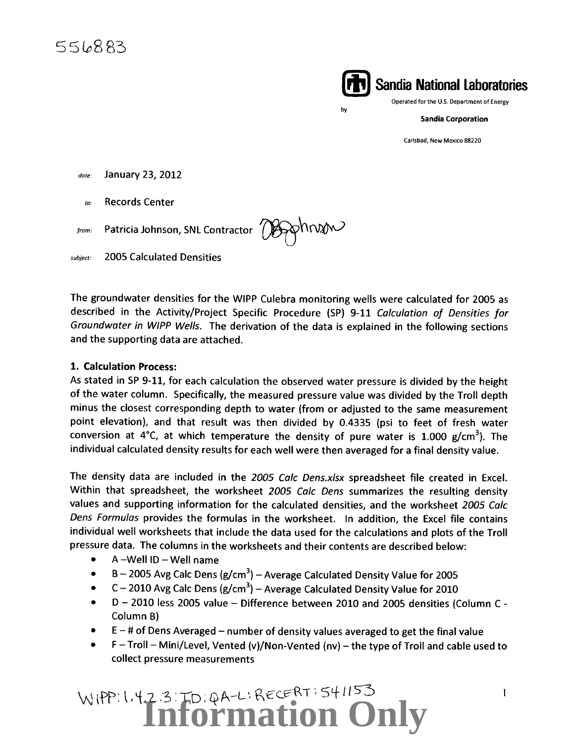**(ilij Sandia National Laboratories**  Operated for the U.S. Department of Energy

by

Sandia Corporation

Carlsbad, New Mexico 88220

*date:* January 23, 2012

*to:* Records Center

 $t_{from}$ : Patricia Johnson, SNL Contractor  $\sim$ 

*subject:* 2005 Calculated Densities

The groundwater densities for the WIPP Culebra monitoring wells were calculated for 2005 as described in the Activity/Project Specific Procedure (SP) 9-11 Calculation of Densities for Groundwater in WIPP Wells. The derivation of the data is explained in the following sections and the supporting data are attached.

#### 1. Calculation Process:

As stated in SP 9-11, for each calculation the observed water pressure is divided by the height of the water column. Specifically, the measured pressure value was divided by the Troll depth minus the closest corresponding depth to water (from or adjusted to the same measurement point elevation), and that result was then divided by 0.4335 (psi to feet of fresh water conversion at 4°C, at which temperature the density of pure water is 1.000 g/cm<sup>3</sup>). The individual calculated density results for each well were then averaged for a final density value.

The density data are included in the 2005 Calc Dens.xlsx spreadsheet file created in Excel. Within that spreadsheet, the worksheet 2005 Calc Dens summarizes the resulting density values and supporting information for the calculated densities, and the worksheet 2005 Calc Dens Formulas provides the formulas in the worksheet. In addition, the Excel file contains individual well worksheets that include the data used for the calculations and plots of the Troll pressure data. The columns in the worksheets and their contents are described below:

- $\bullet$  A -Well ID Well name
- $\bullet$  B 2005 Avg Calc Dens (g/cm<sup>3</sup>) Average Calculated Density Value for 2005
- $C 2010$  Avg Calc Dens (g/cm<sup>3</sup>) Average Calculated Density Value for 2010
- $\bullet$  D 2010 less 2005 value Difference between 2010 and 2005 densities (Column C -Column B)
- $\bullet$   $\,$  E  $-$  # of Dens Averaged  $-$  number of density values averaged to get the final value
- $\bullet$  F Troll Mini/Level, Vented (v)/Non-Vented (nv) the type of Troll and cable used to collect pressure measurements

## WIPP: 1.4.2.3: TD: QA-L: RECERT: 541153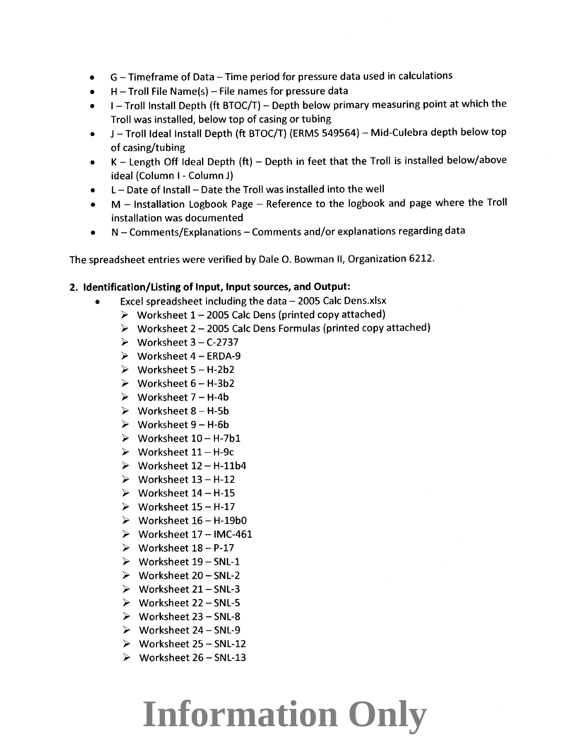- G- Timeframe of Data- Time period for pressure data used in calculations
- $H$  Troll File Name(s) File names for pressure data
- $I$  Troll Install Depth (ft BTOC/T) Depth below primary measuring point at which the Troll was installed, below top of casing or tubing
- J- Troll Ideal Install Depth {ft BTOC/T} {ERMS 549564}- Mid-Culebra depth below top of casing/tubing
- $K$  Length Off Ideal Depth (ft) Depth in feet that the Troll is installed below/above ideal {Column I- Column J)
- L Date of Install Date the Troll was installed into the well
- M Installation Logbook Page Reference to the logbook and page where the Troll installation was documented
- N Comments/Explanations Comments and/or explanations regarding data

The spreadsheet entries were verified by Dale 0. Bowman II, Organization 6212.

#### **2. Identification/Listing of Input, Input sources, and Output:**

- Excel spreadsheet including the data  $-$  2005 Calc Dens.xlsx
	- *);>* Worksheet 1- <sup>2005</sup>Calc Dens {printed copy attached)
	- *);>* Worksheet 2- <sup>2005</sup>Calc Dens Formulas (printed copy attached)
	- *);>* Worksheet 3- C-2737
	- *);>* Worksheet 4- ERDA-9
	- *);>* Worksheet 5- H-2b2
	- *);>* Worksheet 6- H-3b2
	- $\triangleright$  Worksheet 7 H-4b
	- $\triangleright$  Worksheet 8 H-5b
	- *);>* Worksheet 9- H-6b
	- *);>* Worksheet 10- H-7b1
	- *);>* Worksheet 11- H-9c
	- *);>* Worksheet 12- H-11b4
	- *);>* Worksheet 13- H-12
	- *);>* Worksheet 14- H-15
	- *);>* Worksheet 15- H-17
	- *);>* Worksheet 16- H-19b0
	- *);>* Worksheet 17 -IMC-461
	- *);>* Worksheet 18- P-17
	- *);>* Worksheet 19-SNL-1
	- *);>* Worksheet 20- SNL-2
	- *);>* Worksheet 21- SNL-3
	- *);>* Worksheet 22- SNL-5
	- *);>* Worksheet 23- SNL-8
	- *);>* Worksheet 24- SNL-9
	- *);>* Worksheet 25- SNL-12
	- *);>* Worksheet 26- SNL-13

### **Information Only**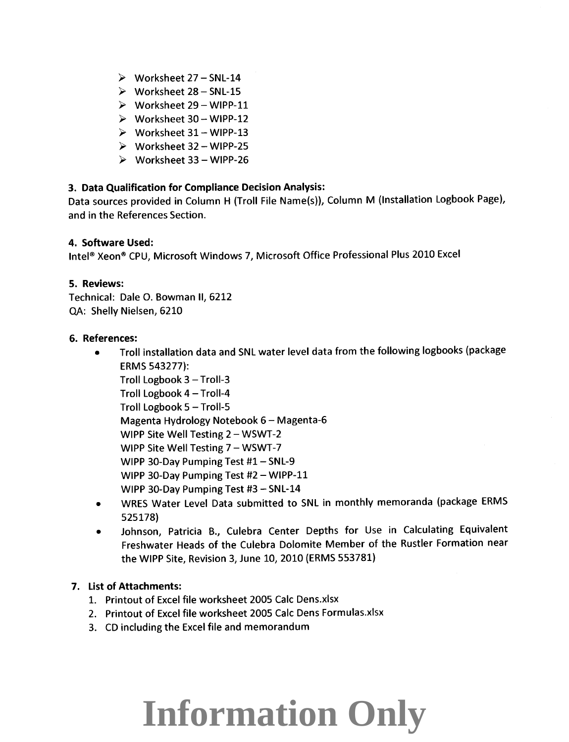- $\triangleright$  Worksheet 27 SNL-14
- $\triangleright$  Worksheet 28 SNL-15
- $\triangleright$  Worksheet 29 WIPP-11
- $\triangleright$  Worksheet 30 WIPP-12
- $\triangleright$  Worksheet 31 WIPP-13
- $\triangleright$  Worksheet 32 WIPP-25
- $\triangleright$  Worksheet 33 WIPP-26

### **3. Data Qualification for Compliance Decision Analysis:**

Data sources provided in Column H (Troll File Name(s)), Column M (Installation Logbook Page), and in the References Section.

#### **4. Software Used:**

Intel® Xeon® CPU, Microsoft Windows 7, Microsoft Office Professional Plus 2010 Excel

#### **5. Reviews:**

Technical: Dale 0. Bowman II, 6212 QA: Shelly Nielsen, 6210

#### **6. References:**

- Troll installation data and SNL water level data from the following logbooks (package ERMS 543277): Troll Logbook 3- Troll-3 Troll Logbook 4- Troll-4 Troll Logbook 5- Troll-S
	- Magenta Hydrology Notebook 6- Magenta-6
	- WIPP Site Well Testing 2 WSWT-2
	- WIPP Site Well Testing 7 WSWT-7
	- WIPP 30-Day Pumping Test  $#1 SNL-9$
	- WIPP 30-Day Pumping Test #2 WIPP-11
	- WIPP 30-Day Pumping Test #3 SNL-14
- WRES Water Level Data submitted to SNL in monthly memoranda (package ERMS 525178)
- Johnson, Patricia B., Culebra Center Depths for Use in Calculating Equivalent Freshwater Heads of the Culebra Dolomite Member of the Rustler Formation near the WIPP Site, Revision 3, June 10, 2010 {ERMS 553781)

### **7. List of Attachments:**

- 1. Printout of Excel file worksheet 2005 Calc Dens.xlsx
- 2. Printout of Excel file worksheet 2005 Calc Dens Formulas.xlsx
- 3. CD including the Excel file and memorandum

## **Information Only**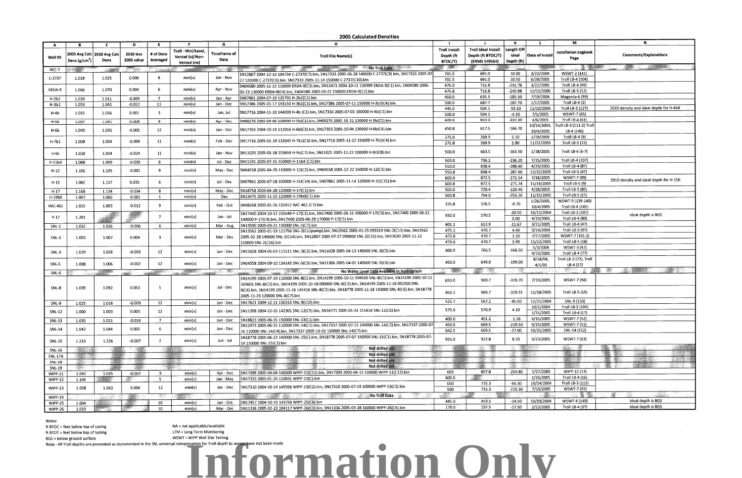Notes:

ft BTOC = feet below top of casing ft BTOT = feet below top of tubing BGS = below ground surface

NA = not applicable/available LTM =Long-Term Monitoring

|                |                           |                               |                |                                 |                      |                   | 2003 Calculated Defisition                                                                                              |                      |                     |            |                |                             | N                                      |
|----------------|---------------------------|-------------------------------|----------------|---------------------------------|----------------------|-------------------|-------------------------------------------------------------------------------------------------------------------------|----------------------|---------------------|------------|----------------|-----------------------------|----------------------------------------|
| A              |                           | £.                            | D              | E.                              |                      | G                 | н                                                                                                                       |                      |                     |            |                | м                           |                                        |
|                |                           |                               |                |                                 | Troll - Mini/Level,  |                   |                                                                                                                         | <b>Troll Install</b> | Troll Ideal Install | Length Off |                |                             |                                        |
|                |                           | 2005 Avg Calc   2010 Avg Calc | 2010 less      | # of Dens                       |                      | Timeframe of      | <b>Troll File Name(s)</b>                                                                                               | Depth (ft            | Depth (ft BTOC/T)   | Ideal      | Date of Instal | <b>Installation Logbook</b> | <b>Comments/Explanations</b>           |
| Well ID        | Dens (g/cm <sup>3</sup> ) | Dens                          | 2005 value     | Averaged                        | Vented (v)/Non-      | Data              |                                                                                                                         |                      |                     |            |                | Page                        |                                        |
|                |                           |                               |                |                                 | Vented (nv)          |                   |                                                                                                                         | BTOC/T)              | (ERMS 549564)       | Depth (ft) |                |                             |                                        |
| AEC-7          |                           |                               | <b>Section</b> |                                 |                      |                   | No Troll Data                                                                                                           | $\sim$               |                     |            |                |                             |                                        |
|                |                           |                               |                |                                 |                      |                   | SN12807 2004-12-16 104734 C-2737(C7).bin, SN17333 2005-06-28 140000 C-2737(C8).bin, SN17333 2005-07                     | 701.0                | 691.0               | 10.00      | 3/23/2004      | WSWT-2 (141)                |                                        |
| $C-2737$       | 1.019                     | 1.025                         | 0.006          | -8                              | min(v)               | Jan - Nov         | 27 120000 C-2737(C9).bin, SN17333 2005-11-14 150000 C-2737(C10).bin                                                     | 701.5                | 691.0               | 10.50      | 6/28/2005      | Troll LB-4 (104)            |                                        |
|                |                           |                               |                |                                 |                      |                   | SN04580 2005-11-15 110000 ERDA-9(C3).bin, 5N12473 2004-10-11 130909 ERDA-9(C1).bin, SN04580 2006-                       | 475.0                | 716.8               | $-241.78$  | 3/22/2005      | Troll LB-4 (49)             |                                        |
| ERDA-9         | 1.066                     | 1.070                         | 0.004          | 6                               | min(v)               | Apr - Nov         |                                                                                                                         |                      | 716.8               | $-240.98$  | 11/15/2005     | Troll LB-5 (12)             |                                        |
|                |                           |                               |                |                                 |                      |                   | 02-23 130000 ERDA-9(C4).bin, SN04580 2005-03-22 150000 ERDA-9(C2).bin                                                   | 475.8                |                     |            |                |                             |                                        |
| H-2b2          | 1.020                     | 1.011                         | $-0.009$       | $\overline{7}$                  | mini(v)              | Jan - Apr         | SN07861 2004-07-19 125701 H-2b2(C2).bin                                                                                 | 450.0                | 635.5               | $-185.50$  | 7/19/2004      | Magenta-6 (99)              |                                        |
| $H-3b2$        | 1.053                     | 1.041                         | $-0.012$       | 11                              | min(v)               | Jan - Dec         | SN17386 2005-01-17 143150 H-3b2(C3).bin, SN17386 2005-07-11 150000 H-3b2(C4).bin                                        | 500.0                | 687.7               | $-187.70$  | 1/17/2005      | Troll LB-4 (2)              |                                        |
|                |                           |                               |                |                                 |                      |                   |                                                                                                                         | 445.0                | 504.1               | $-59.10$   | 11/10/2004     | Troll LB-3 (127)            | 2010 density and ideal depth for H-4bR |
| H-4b           | 1.015                     | 1.016                         | 0.001          | $\overline{\mathbf{3}}$         | min(v)               | Jan, Jul          | SN17716 2004-11-10 144039 H-4b (C1).bin, SN17334 2005-07-01 100000 H-4b(C1).bin                                         | 500.0                | 504.1               | $-4.10$    | 7/1/2005       | WSWT-7 (65)                 |                                        |
|                | 1.097                     | 1.091                         | $-0.006$       | -9                              | min(v)               | Apr - Dec         | SN08276 2005-04-06 160000 H-5b(C1).bin, SN08276 2005-10-21 130000 H-5b(C2).bin                                          | 600.0                | 910.3               | $-310.30$  | 4/6/2005       | Troll LB-4 (61)             |                                        |
| $H-5b$         |                           |                               |                |                                 |                      |                   |                                                                                                                         |                      |                     |            | 10/14/2004,    | Froll LB-3 (111-2) Troll    |                                        |
| H-6b           | 1.040                     | 1.035                         | $-0.005$       | 12                              | min(v)               | Jan - Dec         | SN17353 2004-10-14 112016 H-6b(C3).bin, 5N17353 2005-10-04 130000 H-6b(C4).bin                                          | 450.8                | 617.5               | $-166.70$  | 10/4/2005      | LB-4 (146)                  |                                        |
|                |                           |                               |                |                                 |                      |                   |                                                                                                                         |                      |                     |            |                |                             |                                        |
|                |                           | 1.004                         | $-0.004$       | 11                              | min(v)               | Feb - Dec         | SN17716 2005-01-19 132045 H-7b1(C3).bin, SN17716 2005-11-22 150000 H-7b1(C4).bin                                        | 275.0                | 269.9               | 5.10       | 1/19/2005      | Troll LB-4 (9)              |                                        |
| H-7b1          | 1.008                     |                               |                |                                 |                      |                   |                                                                                                                         | 275.8                | 269.9               | 5.90       | 11/22/2005     | Troll LB-5 (23)             |                                        |
|                |                           |                               |                |                                 |                      |                   |                                                                                                                         | 500.0                | 663.5               | $-163.50$  | 1/18/2005      | Troll LB-4 (6-7)            |                                        |
| Н-9с           | 1.028                     | 1.004                         | $-0.024$       | 11                              | min(v)               | Jan - Nov         | SN11025 2005-01-18 153659 H-9c(C7).bin, SN11025 2005-11-23 100000 H-9c(C8).bin                                          |                      |                     |            |                |                             |                                        |
|                | 1.088                     | 1.049                         | $-0.039$       | -6                              | min(v)               | Jul - Dec         | SN11231 2005-07-15 150000 H-11b4 (C2).bin                                                                               | 500.0                | 736.2               | $-236.20$  | 7/15/2005      | Troll LB-4 (107)            |                                        |
| H-11b4         |                           |                               |                |                                 |                      |                   |                                                                                                                         | 550.0                | 838.4               | $-288.40$  | 4/29/2005      | Troll LB-4 (87)             |                                        |
| $H-12$         | 1.106                     | 1.105                         | $-0.001$       | 9                               | min(v)               | May - Dec         | SN04558 2005-04-29 110000 H-12(C2).bin, SN04558 2005-12-22 150000 H-12(C3).bin                                          | 550.8                | 838.4               | $-287.60$  | 12/22/2005     | Troll LB-5 (47)             |                                        |
|                |                           |                               |                |                                 |                      |                   |                                                                                                                         | 600.0                | 872.5               | $-272.54$  | 7/18/2005      | WSWT-7 (89)                 |                                        |
| $H-15$         | 1.082                     | 1.117                         | 0.035          | 6                               | min(v)               | Jul - Dec         | SN07861 2005-07-18 100000 H-15(C14).bin, SN07861 2005-11-14 120000 H-15(C15).bin                                        |                      |                     |            |                |                             | 2010 density and ideal depth for H-15R |
|                |                           |                               |                |                                 |                      |                   |                                                                                                                         | 600.8                | 872.5               | $-271.74$  | 11/14/2005     | Troll LB-5 (9)              |                                        |
| $H-17$         | 1.168                     | 1.134                         | $-0.034$       | 8                               | min(v)               | May - Dec         | SN18758 2005-04-28 120000 H-17(C1).bin                                                                                  | 500.0                | 720.4               | $-220.40$  | 4/28/2005      | Troll LB-5 (85)             |                                        |
| H-19b0         | 1.067                     | 1.066                         | $-0.001$       | $\mathbf{1}$                    | min(v)               | Dec               | SN13475 2005-11-15 120000 H-19b0(C1).bin                                                                                | 500.8                | 754.0               | $-253.20$  | 11/15/2005     | Troll LB-5 (15)             |                                        |
|                |                           |                               |                |                                 |                      |                   |                                                                                                                         |                      |                     |            | 1/26/2005,     | WSWT-5 (139-140)            |                                        |
| IMC-461        | 1.015                     | 1.003                         | $-0.012$       | -9                              | min(v)               | Feb - Oct         | SN08268 2005-01-26 135912 IMC-461 (C7) bin                                                                              | 375.8                | 376.5               | $-0.70$    | 10/4/2005      | Troll LB-4 (145)            |                                        |
|                | 1.201                     |                               |                |                                 | min(v)               |                   | SN17400 2004-10-12 150549 P-17(C2).bin, SN17400 2005-06-15 100000 P-17(C3).bin, SN17400 2005-06-21                      |                      |                     | $-20.50$   | 10/12/2004     | Troll LB-3 (107)            |                                        |
| P-17           |                           |                               |                | 7                               |                      | Jan - Jul         |                                                                                                                         | 550.0                | 570.5<br>612.9      | 0.00       | 4/19/2005      | <b>Troll LB-4 (80)</b>      | Ideal depth is BGS                     |
|                |                           |                               |                |                                 |                      |                   | 140000 P-17(C4).bin, SN17400 2005-06-29 170000 P-17(C5).bin                                                             | 601.2                |                     | $-11.67$   | 3/21/2005      | Troll LB-4 (47)             |                                        |
| SNL-1          | 1.032                     | 1.026                         | $-0.006$       | 6                               | min(v)               | Mar - Aug         | SN13590 2005-03-21 130000 SNL-1(C7).bin                                                                                 |                      |                     |            |                |                             |                                        |
|                |                           |                               |                |                                 |                      |                   | SN13562 2005-01-19 121756 SNL-2(C12pump).bin, SN13562 2005-01-25 093319 SNL-2(C13).bin, SN13562                         | 475.1                | 470.7               | 4.40       | 9/24/2004      | Troll LB-3 (97)             |                                        |
| $SNL-2$        | 1.003                     | 1.007                         | 0.004          | 9                               | min(v)               | Mar - Dec         | 2005-02-28 140000 SNL-2(C14).bin, SN12807 2005-07-27 090000 SNL-2(C15).bin, SN13590 2005-11-22<br>110000 SNL-2(C16).bin | 473.8                | 470.7               | 3.10       | 7/27/2005      | WSWT-7 (101-2)              |                                        |
|                |                           |                               |                |                                 |                      |                   |                                                                                                                         | 474.6                | 470.7               | 3.90       | 11/22/2005     | Troll LB-5 (18)             |                                        |
|                |                           |                               |                |                                 |                      |                   |                                                                                                                         | 600.0                | 766.5               | $-166.50$  | 5/3/2004       | WSWT-3 (42)                 |                                        |
| $SNL-3$        | 1.029                     | 1.026                         | $-0.003$       | 12                              | min(v)               | Jan - Dec         | SN11028 2004-05-03 111511 SNL-3(C2).bin, SN11028 2005-04-13 140000 SNL-3(C3).bin                                        |                      |                     |            | 4/13/2005      | Troll LB-4 (77)             |                                        |
|                |                           |                               |                |                                 |                      |                   |                                                                                                                         |                      |                     |            | 8/18/04,       | Troll LB-3 (72), Troll      |                                        |
| SNL-5          | 1.008                     | 1.006                         | -0.002         | 12                              | min(v)               | Jan - Dec         | SN04558 2004-09-10 134143 SNL-5(C3).bin, SN11306 2005-04-01 140000 SNL-5(C4).bin                                        | 649.0<br>450.0       |                     | $-199.00$  | 4/1/05         | LB-4 (57)                   |                                        |
|                |                           |                               |                |                                 |                      |                   | No Water Level Data Available in Hydrograph                                                                             |                      |                     | - 1910     |                |                             |                                        |
| $SNL-6$        |                           | <b>SALES</b>                  |                | <b><i>STATE OF BUILDING</i></b> | <b>REAL PROPERTY</b> | <b>STATISTICS</b> | <u> 1990 - John Barnett, franc</u>                                                                                      |                      |                     |            |                |                             |                                        |
|                |                           |                               |                |                                 |                      |                   | SN14199 2005-07-19 110000 SNL-8(C).bin, SN14199 2005-10-11 094500 SNL-8(C1).bin, SN14199 2005-10-11                     | 650.0                | 969.7               | $-319.70$  | 7/19/2005      | WSWT-7 (94)                 |                                        |
|                |                           |                               |                |                                 |                      |                   | 165601 SNL-8(C2).bin, SN14199 2005-10-18 080000 SNL-8(C3).bin, SN14199 2005-11-16 091500 5NL-                           |                      |                     |            |                |                             |                                        |
| SNL-8          | 1.039                     | 1.092                         | 0.053          | -5                              | min(v)               | Jul - Dec         | 8(C4).bin, SN14199 2005-11-16 145416 SNL-8(C5).bin, SN18778 2005-11-18 140000 SNL-8(C6).bin, 5N18778                    |                      |                     |            |                |                             |                                        |
|                |                           |                               |                |                                 |                      |                   | 2005-11-23 120000 SNL-8(C7).bin                                                                                         | 650.2                | 969.7               | $-319.55$  | 11/18/2005     | Troll LB-5 (15)             |                                        |
|                |                           |                               |                |                                 |                      |                   | SN17621 2004-12-21 130313 SNL-9(C10).bin                                                                                | 521.7                | 567.2               | $-45.50$   | 12/21/2004     | SNL-9 (133)                 |                                        |
| $SNL-9$        | 1.025                     | 1.016                         | $-0.009$       | 12                              | min(v)               | Jan - Dec         |                                                                                                                         |                      |                     |            | 10/1/2004      | Troll LB-3 (104)            |                                        |
| <b>SNL-12</b>  | 1.000                     | 1.003                         | 0.003          | 12                              | min(v)               | Jan - Dec         | SN11358 2004-12-15 142301 SNL-12(C5).bin, SN16771 2005-01-31 115614 SNL-12(C6).bin                                      | 575.0                | 570.9               |            | 1/31/2005      | Troll LB-4 (17)             |                                        |
|                |                           |                               |                |                                 |                      |                   |                                                                                                                         |                      |                     |            |                |                             |                                        |
| SNL-13         | 1.035                     | 1.021                         | $-0.014$       | $7^{\circ}$                     | min(v)               | Jun - Dec         | SN18823 2005-06-15 150000 SNL-13(C1).bin                                                                                | 400.0                | 401.2               | $-1.16$    | 6/15/2005      | WSWT-7 (52)                 |                                        |
|                |                           |                               | 0.002          | -6                              | min(v)               | Jun - Dec         | SN12473 2005-06-15 110000 SNL-14(C1).bin, SN17337 2005-07-15 140000 SNL-14(C2).bin, SN17337 2005-07                     | 450.0                | 669.5               | $-219.50$  | 6/15/2005      | W5WT-7 (51)                 |                                        |
| SNL-14         | 1.042                     | 1.044                         |                |                                 |                      |                   | 26 110000 SNL-14(C4).bin, SN17337 2005-10-25 130000 SNL-14(C7).bin                                                      | 642.5                | 669.5               | $-27.00$   | 10/25/2005     | SNL-14 (152)                |                                        |
|                |                           |                               |                |                                 |                      |                   | SN18778 2005-06-23 140000 SNL-15(C).bin, SN18778 2005-07-07 150000 SNL-15(C1).bin, SN18778 2005-07-                     | 931.0                | 922.8               | 8.20       | 6/23/2005      | WSWT-7 (63)                 |                                        |
| SNL-15         | 1.233                     | 1.226                         | $-0.007$       | $\overline{2}$                  | min(v)               | Jun - Jul         | 14 110000 SNL-15(C2).bin                                                                                                |                      |                     |            |                |                             |                                        |
| <b>SNL-16</b>  |                           |                               |                |                                 |                      |                   | Not drilled yet<br>998 MB 1948                                                                                          |                      | BR 1                |            |                | <b>Robert Ma</b>            |                                        |
|                |                           |                               |                |                                 |                      |                   | Not drilled yet                                                                                                         |                      |                     |            |                |                             |                                        |
| <b>SNL-17A</b> |                           |                               |                |                                 |                      |                   | Not drilled yet                                                                                                         |                      | - 152               |            |                |                             |                                        |
| <b>SNL-18</b>  |                           |                               |                |                                 |                      |                   | 장부의 강화                                                                                                                  |                      |                     |            |                |                             | <b>RAGARET START</b>                   |
| <b>SNL-19</b>  |                           |                               |                |                                 |                      |                   | Not drilled yet<br>그래도 좋다                                                                                               |                      |                     |            |                | <b>STORY OF</b>             |                                        |
| <b>WIPP-11</b> | 1042                      | 1.035                         | $-0.007$       | 9                               | min(v)               | Apr - Dec         | SN17399 2005-04-04 140000 WIPP-11(C11).bin, SN17399 2005-04-13 130000 WIPP-11(C12).bin                                  | 603                  | 857.8               | $-254.80$  | 1/27/2005      | WIPP-11 (13)                |                                        |
| <b>WIPP-12</b> | 1.104                     |                               |                | 5.                              | min(v)               | Jan - May         | SN17333 2005-01-26 110831 WIPP-12(C) bin                                                                                | 600.0                |                     |            | 1/26/2005      | Troll LB-4 (16)             |                                        |
|                |                           |                               |                |                                 |                      |                   |                                                                                                                         | 650                  | 715.3               | $-65.30$   | 10/14/2004     | Troll LB-3 (113)            |                                        |
| <b>WIPP-13</b> | 1.038                     | 1.042                         | 0.004          | 12                              | min(v)               | Jan - Dec         | SN17310 2004-10-14 145956 WIPP-13(C2).bin, SN17310 2005-07-19 100000 WIPP-13(C3).bin                                    | 500                  | 715.3               | $-215.30$  | 7/19/2005      | WSWT-7 (93)                 |                                        |
|                |                           |                               |                | e germane                       |                      |                   | <b>STATISTICS</b><br>No Troll Data<br><b>THE REAL PROPERTY OF STATISTICS</b>                                            |                      |                     |            |                |                             |                                        |
| <b>WIPP-19</b> |                           | tan Kar                       |                |                                 |                      |                   |                                                                                                                         | 445.0                | 459.5               | $-14.50$   | 10/19/2004     | WSWT-4 (149)                | Ideal depth is BGS                     |
| WIPP-25        | 1.004                     |                               |                | 10                              | min(v)               | Jan - Oct         | SN17457 2004-10-19 143756 WIPP-25(C6).bin                                                                               |                      |                     |            |                |                             |                                        |
| WIPP-26        | 1.033                     |                               |                | 10                              | min(v)               | Mar - Dec         | SN11336 2005-02-23 104117 WIPP-26(C3).bin, SN11336 2005-03-28 160000 WIPP-26(C4).bin                                    | 170.0                | 197.5               | $-27.50$   | 2/23/2005      | Troll LB-4 (37)             | Ideal depth is BGS                     |

WSWT = WIPP Well Site Testing

Note - All Troll depths are presented as documented in the SN, universal compensation for Troll depth to sensor have not been made<br>**All Troll depths are presented as documented in the SN, universal compensation for Troll d** 

#### **2005 Calculated Densities**